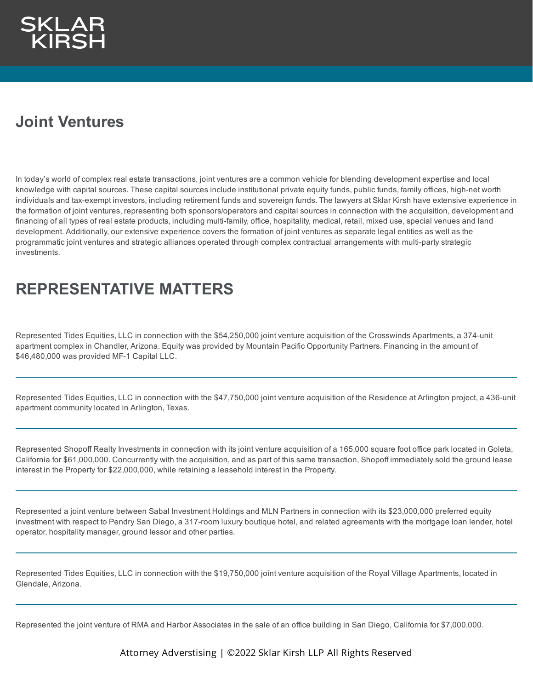## **Joint Ventures**

In today's world of complex real estate transactions, joint ventures are a common vehicle for blending development expertise and local knowledge with capital sources. These capital sources include institutional private equity funds, public funds, family offices, high-net worth individuals and tax-exempt investors, including retirement funds and sovereign funds. The lawyers at Sklar Kirsh have extensive experience in the formation of joint ventures, representing both sponsors/operators and capital sources in connection with the acquisition, development and financing of all types of real estate products, including multi-family, office, hospitality, medical, retail, mixed use, special venues and land development. Additionally, our extensive experience covers the formation of joint ventures as separate legal entities as well as the programmatic joint ventures and strategic alliances operated through complex contractual arrangements with multi-party strategic investments.

### **REPRESENTATIVE MATTERS**

Represented Tides Equities, LLC in connection with the \$54,250,000 joint venture acquisition of the Crosswinds Apartments, a 374-unit apartment complex in Chandler, Arizona. Equity was provided by Mountain Pacific Opportunity Partners. Financing in the amount of \$46,480,000 was provided MF-1 Capital LLC.

Represented Tides Equities, LLC in connection with the \$47,750,000 joint venture acquisition of the Residence at Arlington project, a 436-unit apartment community located in Arlington, Texas.

Represented Shopoff Realty Investments in connection with its joint venture acquisition of a 165,000 square foot office park located in Goleta, California for \$61,000,000. Concurrently with the acquisition, and as part of this same transaction, Shopoff immediately sold the ground lease interest in the Property for \$22,000,000, while retaining a leasehold interest in the Property.

Represented a joint venture between Sabal Investment Holdings and MLN Partners in connection with its \$23,000,000 preferred equity investment with respect to Pendry San Diego, a 317-room luxury boutique hotel, and related agreements with the mortgage loan lender, hotel operator, hospitality manager, ground lessor and other parties.

Represented Tides Equities, LLC in connection with the \$19,750,000 joint venture acquisition of the Royal Village Apartments, located in Glendale, Arizona.

Represented the joint venture of RMA and Harbor Associates in the sale of an office building in San Diego, California for \$7,000,000.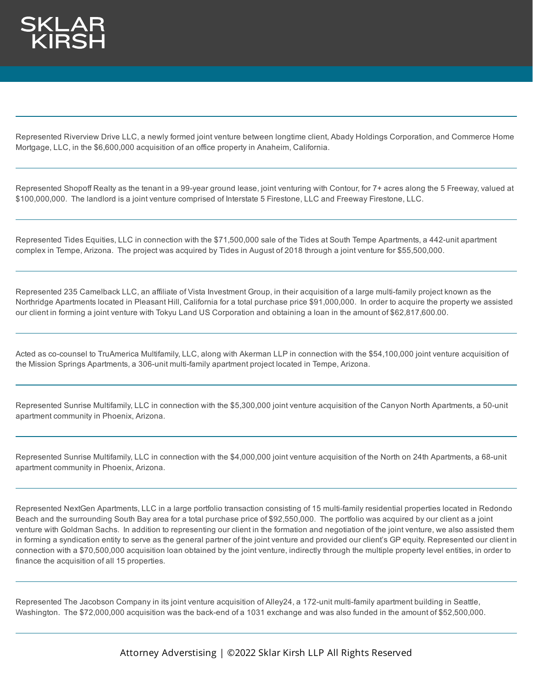

Represented Riverview Drive LLC, a newly formed joint venture between longtime client, Abady Holdings Corporation, and Commerce Home Mortgage, LLC, in the \$6,600,000 acquisition of an office property in Anaheim, California.

Represented Shopoff Realty as the tenant in a 99-year ground lease, joint venturing with Contour, for 7+ acres along the 5 Freeway, valued at \$100,000,000. The landlord is a joint venture comprised of Interstate 5 Firestone, LLC and Freeway Firestone, LLC.

Represented Tides Equities, LLC in connection with the \$71,500,000 sale of the Tides at South Tempe Apartments, a 442-unit apartment complex in Tempe, Arizona. The project was acquired by Tides in August of 2018 through a joint venture for \$55,500,000.

Represented 235 Camelback LLC, an affiliate of Vista Investment Group, in their acquisition of a large multi-family project known as the Northridge Apartments located in Pleasant Hill, California for a total purchase price \$91,000,000. In order to acquire the property we assisted our client in forming a joint venture with Tokyu Land US Corporation and obtaining a loan in the amount of \$62,817,600.00.

Acted as co-counsel to TruAmerica Multifamily, LLC, along with Akerman LLP in connection with the \$54,100,000 joint venture acquisition of the Mission Springs Apartments, a 306-unit multi-family apartment project located in Tempe, Arizona.

Represented Sunrise Multifamily, LLC in connection with the \$5,300,000 joint venture acquisition of the Canyon North Apartments, a 50-unit apartment community in Phoenix, Arizona.

Represented Sunrise Multifamily, LLC in connection with the \$4,000,000 joint venture acquisition of the North on 24th Apartments, a 68-unit apartment community in Phoenix, Arizona.

Represented NextGen Apartments, LLC in a large portfolio transaction consisting of 15 multi-family residential properties located in Redondo Beach and the surrounding South Bay area for a total purchase price of \$92,550,000. The portfolio was acquired by our client as a joint venture with Goldman Sachs. In addition to representing our client in the formation and negotiation of the joint venture, we also assisted them in forming a syndication entity to serve as the general partner of the joint venture and provided our client's GP equity. Represented our client in connection with a \$70,500,000 acquisition loan obtained by the joint venture, indirectly through the multiple property level entities, in order to finance the acquisition of all 15 properties.

Represented The Jacobson Company in its joint venture acquisition of Alley24, a 172-unit multi-family apartment building in Seattle, Washington. The \$72,000,000 acquisition was the back-end of a 1031 exchange and was also funded in the amount of \$52,500,000.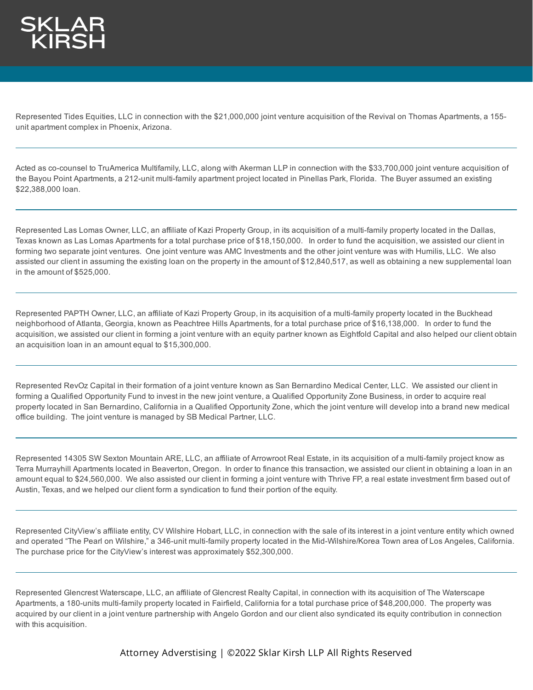

Represented Tides Equities, LLC in connection with the \$21,000,000 joint venture acquisition of the Revival on Thomas Apartments, a 155 unit apartment complex in Phoenix, Arizona.

Acted as co-counsel to TruAmerica Multifamily, LLC, along with Akerman LLP in connection with the \$33,700,000 joint venture acquisition of the Bayou Point Apartments, a 212-unit multi-family apartment project located in Pinellas Park, Florida. The Buyer assumed an existing \$22,388,000 loan.

Represented Las Lomas Owner, LLC, an affiliate of Kazi Property Group, in its acquisition of a multi-family property located in the Dallas, Texas known as Las Lomas Apartments for a total purchase price of \$18,150,000. In order to fund the acquisition, we assisted our client in forming two separate joint ventures. One joint venture was AMC Investments and the other joint venture was with Humilis, LLC. We also assisted our client in assuming the existing loan on the property in the amount of \$12,840,517, as well as obtaining a new supplemental loan in the amount of \$525,000.

Represented PAPTH Owner, LLC, an affiliate of Kazi Property Group, in its acquisition of a multi-family property located in the Buckhead neighborhood of Atlanta, Georgia, known as Peachtree Hills Apartments, for a total purchase price of \$16,138,000. In order to fund the acquisition, we assisted our client in forming a joint venture with an equity partner known as Eightfold Capital and also helped our client obtain an acquisition loan in an amount equal to \$15,300,000.

Represented RevOz Capital in their formation of a joint venture known as San Bernardino Medical Center, LLC. We assisted our client in forming a Qualified Opportunity Fund to invest in the new joint venture, a Qualified Opportunity Zone Business, in order to acquire real property located in San Bernardino, California in a Qualified Opportunity Zone, which the joint venture will develop into a brand new medical office building. The joint venture is managed by SB Medical Partner, LLC.

Represented 14305 SW Sexton Mountain ARE, LLC, an affiliate of Arrowroot Real Estate, in its acquisition of a multi-family project know as Terra Murrayhill Apartments located in Beaverton, Oregon. In order to finance this transaction, we assisted our client in obtaining a loan in an amount equal to \$24,560,000. We also assisted our client in forming a joint venture with Thrive FP, a real estate investment firm based out of Austin, Texas, and we helped our client form a syndication to fund their portion of the equity.

Represented CityView's affiliate entity, CV Wilshire Hobart, LLC, in connection with the sale of its interest in a joint venture entity which owned and operated "The Pearl on Wilshire," a 346-unit multi-family property located in the Mid-Wilshire/Korea Town area of Los Angeles, California. The purchase price for the CityView's interest was approximately \$52,300,000.

Represented Glencrest Waterscape, LLC, an affiliate of Glencrest Realty Capital, in connection with its acquisition of The Waterscape Apartments, a 180-units multi-family property located in Fairfield, California for a total purchase price of \$48,200,000. The property was acquired by our client in a joint venture partnership with Angelo Gordon and our client also syndicated its equity contribution in connection with this acquisition.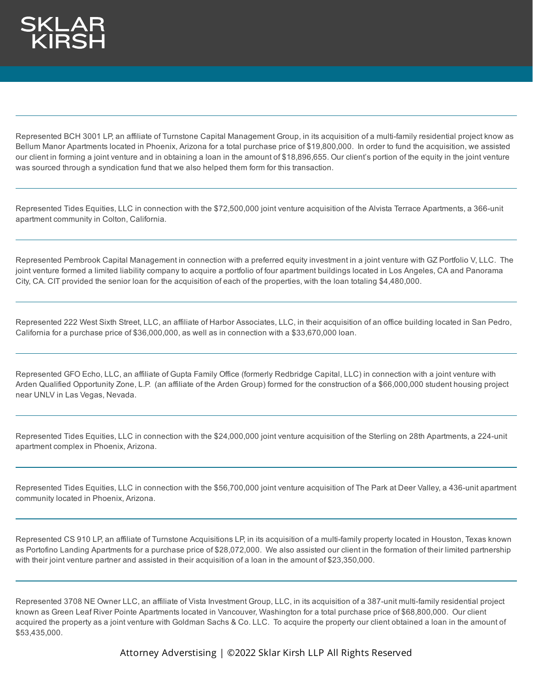Represented BCH 3001 LP, an affiliate of Turnstone Capital Management Group, in its acquisition of a multi-family residential project know as Bellum Manor Apartments located in Phoenix, Arizona for a total purchase price of \$19,800,000. In order to fund the acquisition, we assisted our client in forming a joint venture and in obtaining a loan in the amount of \$18,896,655. Our client's portion of the equity in the joint venture was sourced through a syndication fund that we also helped them form for this transaction.

Represented Tides Equities, LLC in connection with the \$72,500,000 joint venture acquisition of the Alvista Terrace Apartments, a 366-unit apartment community in Colton, California.

Represented Pembrook Capital Management in connection with a preferred equity investment in a joint venture with GZ Portfolio V, LLC. The joint venture formed a limited liability company to acquire a portfolio of four apartment buildings located in Los Angeles, CA and Panorama City, CA. CIT provided the senior loan for the acquisition of each of the properties, with the loan totaling \$4,480,000.

Represented 222 West Sixth Street, LLC, an affiliate of Harbor Associates, LLC, in their acquisition of an office building located in San Pedro, California for a purchase price of \$36,000,000, as well as in connection with a \$33,670,000 loan.

Represented GFO Echo, LLC, an affiliate of Gupta Family Office (formerly Redbridge Capital, LLC) in connection with a joint venture with Arden Qualified Opportunity Zone, L.P. (an affiliate of the Arden Group) formed for the construction of a \$66,000,000 student housing project near UNLV in Las Vegas, Nevada.

Represented Tides Equities, LLC in connection with the \$24,000,000 joint venture acquisition of the Sterling on 28th Apartments, a 224-unit apartment complex in Phoenix, Arizona.

Represented Tides Equities, LLC in connection with the \$56,700,000 joint venture acquisition of The Park at Deer Valley, a 436-unit apartment community located in Phoenix, Arizona.

Represented CS 910 LP, an affiliate of Turnstone Acquisitions LP, in its acquisition of a multi-family property located in Houston, Texas known as Portofino Landing Apartments for a purchase price of \$28,072,000. We also assisted our client in the formation of their limited partnership with their joint venture partner and assisted in their acquisition of a loan in the amount of \$23,350,000.

Represented 3708 NE Owner LLC, an affiliate of Vista Investment Group, LLC, in its acquisition of a 387-unit multi-family residential project known as Green Leaf River Pointe Apartments located in Vancouver, Washington for a total purchase price of \$68,800,000. Our client acquired the property as a joint venture with Goldman Sachs & Co. LLC. To acquire the property our client obtained a loan in the amount of \$53,435,000.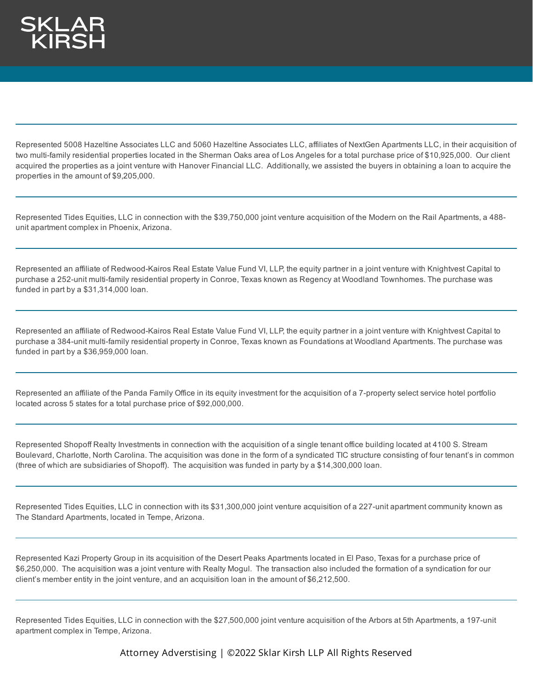Represented 5008 Hazeltine Associates LLC and 5060 Hazeltine Associates LLC, affiliates of NextGen Apartments LLC, in their acquisition of two multi-family residential properties located in the Sherman Oaks area of Los Angeles for a total purchase price of \$10,925,000. Our client acquired the properties as a joint venture with Hanover Financial LLC. Additionally, we assisted the buyers in obtaining a loan to acquire the properties in the amount of \$9,205,000.

Represented Tides Equities, LLC in connection with the \$39,750,000 joint venture acquisition of the Modern on the Rail Apartments, a 488 unit apartment complex in Phoenix, Arizona.

Represented an affiliate of Redwood-Kairos Real Estate Value Fund VI, LLP, the equity partner in a joint venture with Knightvest Capital to purchase a 252-unit multi-family residential property in Conroe, Texas known as Regency at Woodland Townhomes. The purchase was funded in part by a \$31,314,000 loan.

Represented an affiliate of Redwood-Kairos Real Estate Value Fund VI, LLP, the equity partner in a joint venture with Knightvest Capital to purchase a 384-unit multi-family residential property in Conroe, Texas known as Foundations at Woodland Apartments. The purchase was funded in part by a \$36,959,000 loan.

Represented an affiliate of the Panda Family Office in its equity investment for the acquisition of a 7-property select service hotel portfolio located across 5 states for a total purchase price of \$92,000,000.

Represented Shopoff Realty Investments in connection with the acquisition of a single tenant office building located at 4100 S. Stream Boulevard, Charlotte, North Carolina. The acquisition was done in the form of a syndicated TIC structure consisting of four tenant's in common (three of which are subsidiaries of Shopoff). The acquisition was funded in party by a \$14,300,000 loan.

Represented Tides Equities, LLC in connection with its \$31,300,000 joint venture acquisition of a 227-unit apartment community known as The Standard Apartments, located in Tempe, Arizona.

Represented Kazi Property Group in its acquisition of the Desert Peaks Apartments located in El Paso, Texas for a purchase price of \$6,250,000. The acquisition was a joint venture with Realty Mogul. The transaction also included the formation of a syndication for our client's member entity in the joint venture, and an acquisition loan in the amount of \$6,212,500.

Represented Tides Equities, LLC in connection with the \$27,500,000 joint venture acquisition of the Arbors at 5th Apartments, a 197-unit apartment complex in Tempe, Arizona.

Attorney Adverstising | ©2022 Sklar Kirsh LLP All Rights Reserved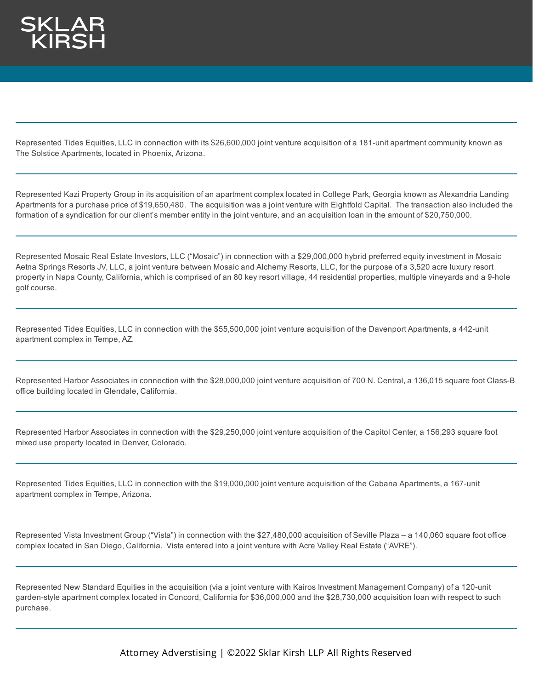Represented Tides Equities, LLC in connection with its \$26,600,000 joint venture acquisition of a 181-unit apartment community known as The Solstice Apartments, located in Phoenix, Arizona.

Represented Kazi Property Group in its acquisition of an apartment complex located in College Park, Georgia known as Alexandria Landing Apartments for a purchase price of \$19,650,480. The acquisition was a joint venture with Eightfold Capital. The transaction also included the formation of a syndication for our client's member entity in the joint venture, and an acquisition loan in the amount of \$20,750,000.

Represented Mosaic Real Estate Investors, LLC ("Mosaic") in connection with a \$29,000,000 hybrid preferred equity investment in Mosaic Aetna Springs Resorts JV, LLC, a joint venture between Mosaic and Alchemy Resorts, LLC, for the purpose of a 3,520 acre luxury resort property in Napa County, California, which is comprised of an 80 key resort village, 44 residential properties, multiple vineyards and a 9-hole golf course.

Represented Tides Equities, LLC in connection with the \$55,500,000 joint venture acquisition of the Davenport Apartments, a 442-unit apartment complex in Tempe, AZ.

Represented Harbor Associates in connection with the \$28,000,000 joint venture acquisition of 700 N. Central, a 136,015 square foot Class-B office building located in Glendale, California.

Represented Harbor Associates in connection with the \$29,250,000 joint venture acquisition of the Capitol Center, a 156,293 square foot mixed use property located in Denver, Colorado.

Represented Tides Equities, LLC in connection with the \$19,000,000 joint venture acquisition of the Cabana Apartments, a 167-unit apartment complex in Tempe, Arizona.

Represented Vista Investment Group ("Vista") in connection with the \$27,480,000 acquisition of Seville Plaza – a 140,060 square foot office complex located in San Diego, California. Vista entered into a joint venture with Acre Valley Real Estate ("AVRE").

Represented New Standard Equities in the acquisition (via a joint venture with Kairos Investment Management Company) of a 120-unit garden-style apartment complex located in Concord, California for \$36,000,000 and the \$28,730,000 acquisition loan with respect to such purchase.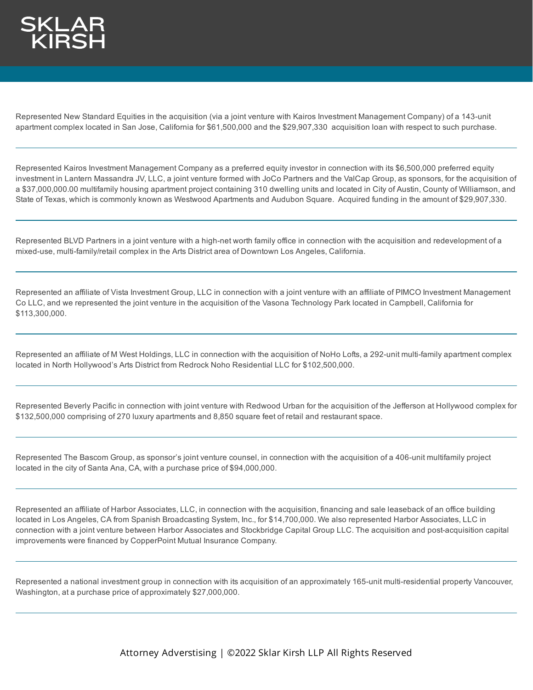Represented New Standard Equities in the acquisition (via a joint venture with Kairos Investment Management Company) of a 143-unit apartment complex located in San Jose, California for \$61,500,000 and the \$29,907,330 acquisition loan with respect to such purchase.

Represented Kairos Investment Management Company as a preferred equity investor in connection with its \$6,500,000 preferred equity investment in Lantern Massandra JV, LLC, a joint venture formed with JoCo Partners and the ValCap Group, as sponsors, for the acquisition of a \$37,000,000.00 multifamily housing apartment project containing 310 dwelling units and located in City of Austin, County of Williamson, and State of Texas, which is commonly known as Westwood Apartments and Audubon Square. Acquired funding in the amount of \$29,907,330.

Represented BLVD Partners in a joint venture with a high-net worth family office in connection with the acquisition and redevelopment of a mixed-use, multi-family/retail complex in the Arts District area of Downtown Los Angeles, California.

Represented an affiliate of Vista Investment Group, LLC in connection with a joint venture with an affiliate of PIMCO Investment Management Co LLC, and we represented the joint venture in the acquisition of the Vasona Technology Park located in Campbell, California for \$113,300,000.

Represented an affiliate of M West Holdings, LLC in connection with the acquisition of NoHo Lofts, a 292-unit multi-family apartment complex located in North Hollywood's Arts District from Redrock Noho Residential LLC for \$102,500,000.

Represented Beverly Pacific in connection with joint venture with Redwood Urban for the acquisition of the Jefferson at Hollywood complex for \$132,500,000 comprising of 270 luxury apartments and 8,850 square feet of retail and restaurant space.

Represented The Bascom Group, as sponsor's joint venture counsel, in connection with the acquisition of a 406-unit multifamily project located in the city of Santa Ana, CA, with a purchase price of \$94,000,000.

Represented an affiliate of Harbor Associates, LLC, in connection with the acquisition, financing and sale leaseback of an office building located in Los Angeles, CA from Spanish Broadcasting System, Inc., for \$14,700,000. We also represented Harbor Associates, LLC in connection with a joint venture between Harbor Associates and Stockbridge Capital Group LLC. The acquisition and post-acquisition capital improvements were financed by CopperPoint Mutual Insurance Company.

Represented a national investment group in connection with its acquisition of an approximately 165-unit multi-residential property Vancouver, Washington, at a purchase price of approximately \$27,000,000.